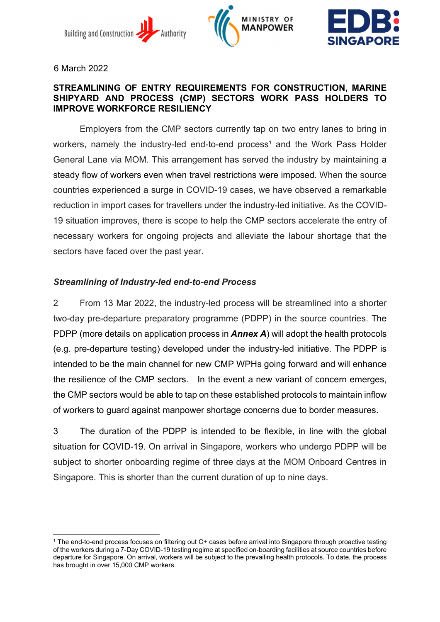





6 March 2022

#### STREAMLINING OF ENTRY REQUIREMENTS FOR CONSTRUCTION, MARINE SHIPYARD AND PROCESS (CMP) SECTORS WORK PASS HOLDERS TO IMPROVE WORKFORCE RESILIENCY

Employers from the CMP sectors currently tap on two entry lanes to bring in workers, namely the industry-led end-to-end process<sup>1</sup> and the Work Pass Holder General Lane via MOM. This arrangement has served the industry by maintaining a steady flow of workers even when travel restrictions were imposed. When the source countries experienced a surge in COVID-19 cases, we have observed a remarkable reduction in import cases for travellers under the industry-led initiative. As the COVID-19 situation improves, there is scope to help the CMP sectors accelerate the entry of necessary workers for ongoing projects and alleviate the labour shortage that the sectors have faced over the past year.

# Streamlining of Industry-led end-to-end Process

2 From 13 Mar 2022, the industry-led process will be streamlined into a shorter two-day pre-departure preparatory programme (PDPP) in the source countries. The PDPP (more details on application process in **Annex A**) will adopt the health protocols (e.g. pre-departure testing) developed under the industry-led initiative. The PDPP is intended to be the main channel for new CMP WPHs going forward and will enhance the resilience of the CMP sectors. In the event a new variant of concern emerges, the CMP sectors would be able to tap on these established protocols to maintain inflow of workers to guard against manpower shortage concerns due to border measures.

3 The duration of the PDPP is intended to be flexible, in line with the global situation for COVID-19. On arrival in Singapore, workers who undergo PDPP will be subject to shorter onboarding regime of three days at the MOM Onboard Centres in Singapore. This is shorter than the current duration of up to nine days.

<sup>1</sup> The end-to-end process focuses on filtering out C+ cases before arrival into Singapore through proactive testing of the workers during a 7-Day COVID-19 testing regime at specified on-boarding facilities at source countries before departure for Singapore. On arrival, workers will be subject to the prevailing health protocols. To date, the process has brought in over 15,000 CMP workers.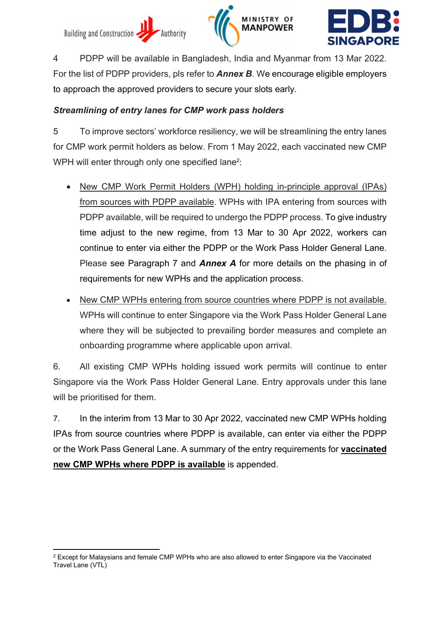





4 PDPP will be available in Bangladesh, India and Myanmar from 13 Mar 2022. For the list of PDPP providers, pls refer to **Annex B**. We encourage eligible employers to approach the approved providers to secure your slots early.

## Streamlining of entry lanes for CMP work pass holders

5 To improve sectors' workforce resiliency, we will be streamlining the entry lanes for CMP work permit holders as below. From 1 May 2022, each vaccinated new CMP WPH will enter through only one specified lane<sup>2</sup>:

- New CMP Work Permit Holders (WPH) holding in-principle approval (IPAs) from sources with PDPP available. WPHs with IPA entering from sources with PDPP available, will be required to undergo the PDPP process. To give industry time adjust to the new regime, from 13 Mar to 30 Apr 2022, workers can continue to enter via either the PDPP or the Work Pass Holder General Lane. Please see Paragraph 7 and **Annex A** for more details on the phasing in of requirements for new WPHs and the application process.
- New CMP WPHs entering from source countries where PDPP is not available. WPHs will continue to enter Singapore via the Work Pass Holder General Lane where they will be subjected to prevailing border measures and complete an onboarding programme where applicable upon arrival.

6. All existing CMP WPHs holding issued work permits will continue to enter Singapore via the Work Pass Holder General Lane. Entry approvals under this lane will be prioritised for them.

7. In the interim from 13 Mar to 30 Apr 2022, vaccinated new CMP WPHs holding IPAs from source countries where PDPP is available, can enter via either the PDPP or the Work Pass General Lane. A summary of the entry requirements for vaccinated new CMP WPHs where PDPP is available is appended.

 $2$  Except for Malaysians and female CMP WPHs who are also allowed to enter Singapore via the Vaccinated Travel Lane (VTL)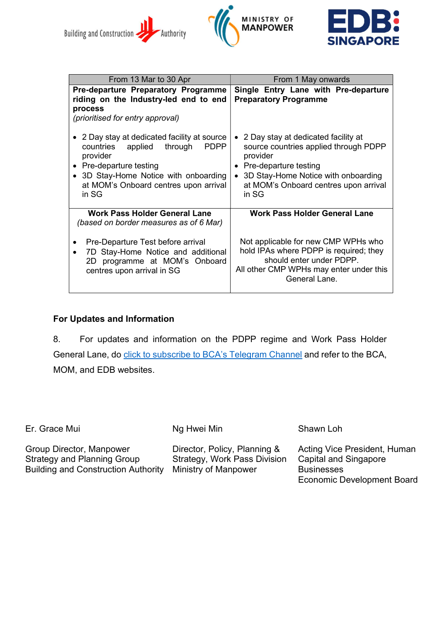





| From 13 Mar to 30 Apr                                                                                                                                                                                                                       | From 1 May onwards                                                                                                                                                                                         |  |  |  |
|---------------------------------------------------------------------------------------------------------------------------------------------------------------------------------------------------------------------------------------------|------------------------------------------------------------------------------------------------------------------------------------------------------------------------------------------------------------|--|--|--|
| Pre-departure Preparatory Programme<br>riding on the Industry-led end to end<br>process<br>(prioritised for entry approval)                                                                                                                 | Single Entry Lane with Pre-departure<br><b>Preparatory Programme</b>                                                                                                                                       |  |  |  |
| • 2 Day stay at dedicated facility at source<br>countries<br>applied<br><b>PDPP</b><br>through<br>provider<br>Pre-departure testing<br>$\bullet$<br>• 3D Stay-Home Notice with onboarding<br>at MOM's Onboard centres upon arrival<br>in SG | 2 Day stay at dedicated facility at<br>source countries applied through PDPP<br>provider<br>Pre-departure testing<br>3D Stay-Home Notice with onboarding<br>at MOM's Onboard centres upon arrival<br>in SG |  |  |  |
| <b>Work Pass Holder General Lane</b><br>(based on border measures as of 6 Mar)                                                                                                                                                              | <b>Work Pass Holder General Lane</b>                                                                                                                                                                       |  |  |  |
| Pre-Departure Test before arrival<br>7D Stay-Home Notice and additional<br>$\bullet$<br>2D programme at MOM's Onboard<br>centres upon arrival in SG                                                                                         | Not applicable for new CMP WPHs who<br>hold IPAs where PDPP is required; they<br>should enter under PDPP.<br>All other CMP WPHs may enter under this<br>General Lane.                                      |  |  |  |

### For Updates and Information

8. For updates and information on the PDPP regime and Work Pass Holder General Lane, do click to subscribe to BCA's Telegram Channel and refer to the BCA, MOM, and EDB websites.

Er. Grace Mui

Ng Hwei Min

Group Director, Manpower Strategy and Planning Group Building and Construction Authority

Director, Policy, Planning & Strategy, Work Pass Division Ministry of Manpower

Shawn Loh

Acting Vice President, Human Capital and Singapore **Businesses** Economic Development Board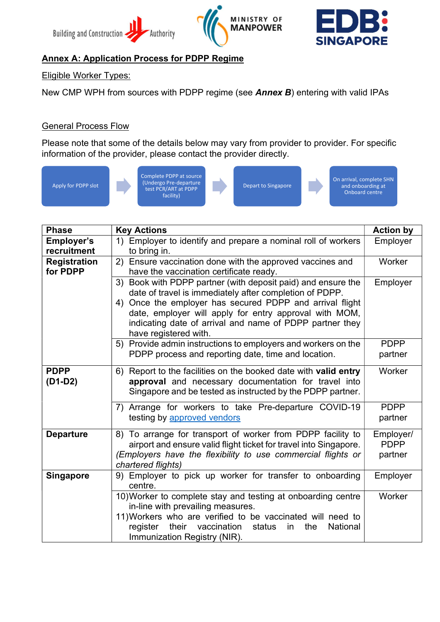





# Annex A: Application Process for PDPP Regime

### Eligible Worker Types:

New CMP WPH from sources with PDPP regime (see **Annex B**) entering with valid IPAs

### **General Process Flow**

Please note that some of the details below may vary from provider to provider. For specific information of the provider, please contact the provider directly.



| <b>Phase</b>        | <b>Key Actions</b>                                                      | <b>Action by</b> |  |  |  |  |  |
|---------------------|-------------------------------------------------------------------------|------------------|--|--|--|--|--|
| <b>Employer's</b>   | 1) Employer to identify and prepare a nominal roll of workers           | Employer         |  |  |  |  |  |
| recruitment         | to bring in.                                                            |                  |  |  |  |  |  |
| <b>Registration</b> | 2) Ensure vaccination done with the approved vaccines and               | Worker           |  |  |  |  |  |
| for PDPP            | have the vaccination certificate ready.                                 |                  |  |  |  |  |  |
|                     | 3) Book with PDPP partner (with deposit paid) and ensure the            |                  |  |  |  |  |  |
|                     | date of travel is immediately after completion of PDPP.                 |                  |  |  |  |  |  |
|                     | 4) Once the employer has secured PDPP and arrival flight                |                  |  |  |  |  |  |
|                     | date, employer will apply for entry approval with MOM,                  |                  |  |  |  |  |  |
|                     | indicating date of arrival and name of PDPP partner they                |                  |  |  |  |  |  |
|                     | have registered with.                                                   |                  |  |  |  |  |  |
|                     | 5) Provide admin instructions to employers and workers on the           |                  |  |  |  |  |  |
|                     | PDPP process and reporting date, time and location.                     | partner          |  |  |  |  |  |
| <b>PDPP</b>         | 6) Report to the facilities on the booked date with valid entry         | Worker           |  |  |  |  |  |
| $(D1-D2)$           | approval and necessary documentation for travel into                    |                  |  |  |  |  |  |
|                     | Singapore and be tested as instructed by the PDPP partner.              |                  |  |  |  |  |  |
|                     | Arrange for workers to take Pre-departure COVID-19<br>7)                |                  |  |  |  |  |  |
|                     | testing by approved vendors                                             |                  |  |  |  |  |  |
|                     |                                                                         | partner          |  |  |  |  |  |
| <b>Departure</b>    | 8) To arrange for transport of worker from PDPP facility to             | Employer/        |  |  |  |  |  |
|                     | airport and ensure valid flight ticket for travel into Singapore.       | <b>PDPP</b>      |  |  |  |  |  |
|                     | (Employers have the flexibility to use commercial flights or<br>partner |                  |  |  |  |  |  |
|                     | chartered flights)                                                      |                  |  |  |  |  |  |
| <b>Singapore</b>    | 9) Employer to pick up worker for transfer to onboarding                |                  |  |  |  |  |  |
|                     | centre.                                                                 |                  |  |  |  |  |  |
|                     | 10) Worker to complete stay and testing at onboarding centre            | Worker           |  |  |  |  |  |
|                     | in-line with prevailing measures.                                       |                  |  |  |  |  |  |
|                     | 11) Workers who are verified to be vaccinated will need to              |                  |  |  |  |  |  |
|                     | their vaccination<br>National<br>register<br>status<br>the<br>in        |                  |  |  |  |  |  |
|                     | Immunization Registry (NIR).                                            |                  |  |  |  |  |  |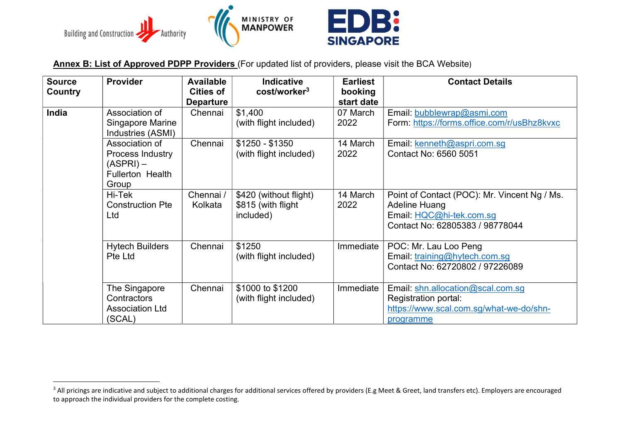

Annex B: List of Approved PDPP Providers (For updated list of providers, please visit the BCA Website)

| <b>Source</b> | <b>Provider</b>                                                                     | <b>Available</b>                     | <b>Indicative</b>                                         | <b>Earliest</b>       | <b>Contact Details</b>                                                                                                              |
|---------------|-------------------------------------------------------------------------------------|--------------------------------------|-----------------------------------------------------------|-----------------------|-------------------------------------------------------------------------------------------------------------------------------------|
| Country       |                                                                                     | <b>Cities of</b><br><b>Departure</b> | cost/worker <sup>3</sup>                                  | booking<br>start date |                                                                                                                                     |
| India         | Association of<br>Singapore Marine<br>Industries (ASMI)                             | Chennai                              | \$1,400<br>(with flight included)                         | 07 March<br>2022      | Email: bubblewrap@asmi.com<br>Form: https://forms.office.com/r/usBhz8kvxc                                                           |
|               | Association of<br>Process Industry<br>(ASPRI) –<br><b>Fullerton Health</b><br>Group | Chennai                              | $$1250 - $1350$<br>(with flight included)                 | 14 March<br>2022      | Email: kenneth@aspri.com.sg<br>Contact No: 6560 5051                                                                                |
|               | Hi-Tek<br><b>Construction Pte</b><br>Ltd                                            | Chennai /<br>Kolkata                 | \$420 (without flight)<br>\$815 (with flight<br>included) | 14 March<br>2022      | Point of Contact (POC): Mr. Vincent Ng / Ms.<br><b>Adeline Huang</b><br>Email: HQC@hi-tek.com.sg<br>Contact No: 62805383 / 98778044 |
|               | <b>Hytech Builders</b><br>Pte Ltd                                                   | Chennai                              | \$1250<br>(with flight included)                          | Immediate             | POC: Mr. Lau Loo Peng<br>Email: training@hytech.com.sg<br>Contact No: 62720802 / 97226089                                           |
|               | The Singapore<br><b>Contractors</b><br><b>Association Ltd</b><br>(SCAL)             | Chennai                              | \$1000 to \$1200<br>(with flight included)                | Immediate             | Email: shn.allocation@scal.com.sg<br>Registration portal:<br>https://www.scal.com.sq/what-we-do/shn-<br>programme                   |

<sup>&</sup>lt;sup>3</sup> All pricings are indicative and subject to additional charges for additional services offered by providers (E.g Meet & Greet, land transfers etc). Employers are encouraged to approach the individual providers for the complete costing.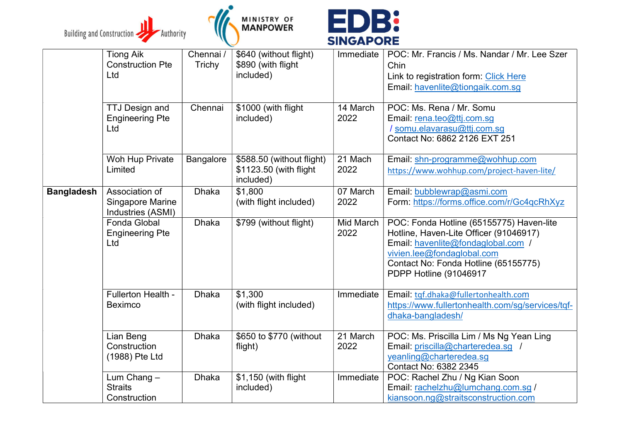





|                   | <b>Tiong Aik</b><br><b>Construction Pte</b><br>Ltd      | Chennai /<br>Trichy | \$640 (without flight)<br>\$890 (with flight<br>included)        | Immediate         | POC: Mr. Francis / Ms. Nandar / Mr. Lee Szer<br>Chin<br>Link to registration form: Click Here<br>Email: havenlite@tiongaik.com.sg                                                                                        |
|-------------------|---------------------------------------------------------|---------------------|------------------------------------------------------------------|-------------------|--------------------------------------------------------------------------------------------------------------------------------------------------------------------------------------------------------------------------|
|                   | <b>TTJ Design and</b><br><b>Engineering Pte</b><br>Ltd  | Chennai             | \$1000 (with flight<br>included)                                 | 14 March<br>2022  | POC: Ms. Rena / Mr. Somu<br>Email: rena.teo@ttj.com.sg<br>/ somu.elavarasu@ttj.com.sg<br>Contact No: 6862 2126 EXT 251                                                                                                   |
|                   | Woh Hup Private<br>Limited                              | Bangalore           | \$588.50 (without flight)<br>\$1123.50 (with flight<br>included) | 21 Mach<br>2022   | Email: shn-programme@wohhup.com<br>https://www.wohhup.com/project-haven-lite/                                                                                                                                            |
| <b>Bangladesh</b> | Association of<br>Singapore Marine<br>Industries (ASMI) | <b>Dhaka</b>        | \$1,800<br>(with flight included)                                | 07 March<br>2022  | Email: bubblewrap@asmi.com<br>Form: https://forms.office.com/r/Gc4qcRhXyz                                                                                                                                                |
|                   | Fonda Global<br><b>Engineering Pte</b><br>Ltd           | <b>Dhaka</b>        | \$799 (without flight)                                           | Mid March<br>2022 | POC: Fonda Hotline (65155775) Haven-lite<br>Hotline, Haven-Lite Officer (91046917)<br>Email: havenlite@fondaglobal.com /<br>vivien.lee@fondaglobal.com<br>Contact No: Fonda Hotline (65155775)<br>PDPP Hotline (91046917 |
|                   | Fullerton Health -<br><b>Beximco</b>                    | <b>Dhaka</b>        | \$1,300<br>(with flight included)                                | Immediate         | Email: tgf.dhaka@fullertonhealth.com<br>https://www.fullertonhealth.com/sg/services/tqf-<br>dhaka-bangladesh/                                                                                                            |
|                   | Lian Beng<br>Construction<br>(1988) Pte Ltd             | <b>Dhaka</b>        | \$650 to \$770 (without<br>flight)                               | 21 March<br>2022  | POC: Ms. Priscilla Lim / Ms Ng Yean Ling<br>Email: priscilla@charteredea.sg /<br>yeanling@charteredea.sg<br>Contact No: 6382 2345                                                                                        |
|                   | Lum Chang -<br><b>Straits</b><br>Construction           | <b>Dhaka</b>        | \$1,150 (with flight<br>included)                                | Immediate         | POC: Rachel Zhu / Ng Kian Soon<br>Email: rachelzhu@lumchang.com.sg /<br>kiansoon.ng@straitsconstruction.com                                                                                                              |